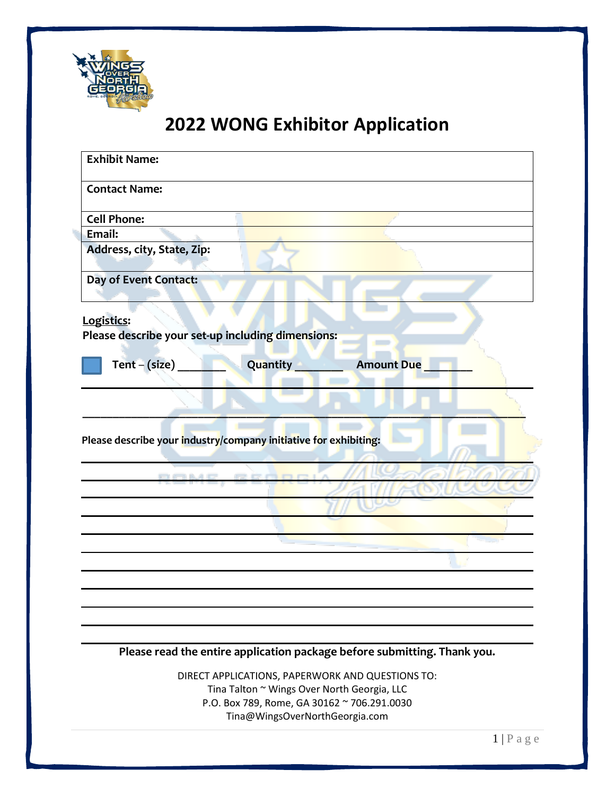

# **2022 WONG Exhibitor Application**

| <b>Exhibit Name:</b>                                             |                                                                                                                                                |                                                                          |  |
|------------------------------------------------------------------|------------------------------------------------------------------------------------------------------------------------------------------------|--------------------------------------------------------------------------|--|
| <b>Contact Name:</b>                                             |                                                                                                                                                |                                                                          |  |
| <b>Cell Phone:</b>                                               |                                                                                                                                                |                                                                          |  |
| Email:                                                           |                                                                                                                                                |                                                                          |  |
| Address, city, State, Zip:                                       |                                                                                                                                                |                                                                          |  |
| Day of Event Contact:                                            |                                                                                                                                                |                                                                          |  |
| Logistics:<br>Please describe your set-up including dimensions:  |                                                                                                                                                |                                                                          |  |
|                                                                  | Quantity                                                                                                                                       | <b>Amount Due</b>                                                        |  |
| Tent $-(size)$                                                   |                                                                                                                                                |                                                                          |  |
| Please describe your industry/company initiative for exhibiting: | DAME CEADRI                                                                                                                                    |                                                                          |  |
|                                                                  |                                                                                                                                                |                                                                          |  |
|                                                                  |                                                                                                                                                |                                                                          |  |
|                                                                  |                                                                                                                                                | Please read the entire application package before submitting. Thank you. |  |
|                                                                  | DIRECT APPLICATIONS, PAPERWORK AND QUESTIONS TO:<br>Tina Talton ~ Wings Over North Georgia, LLC<br>P.O. Box 789, Rome, GA 30162 ~ 706.291.0030 |                                                                          |  |

Tina@WingsOverNorthGeorgia.com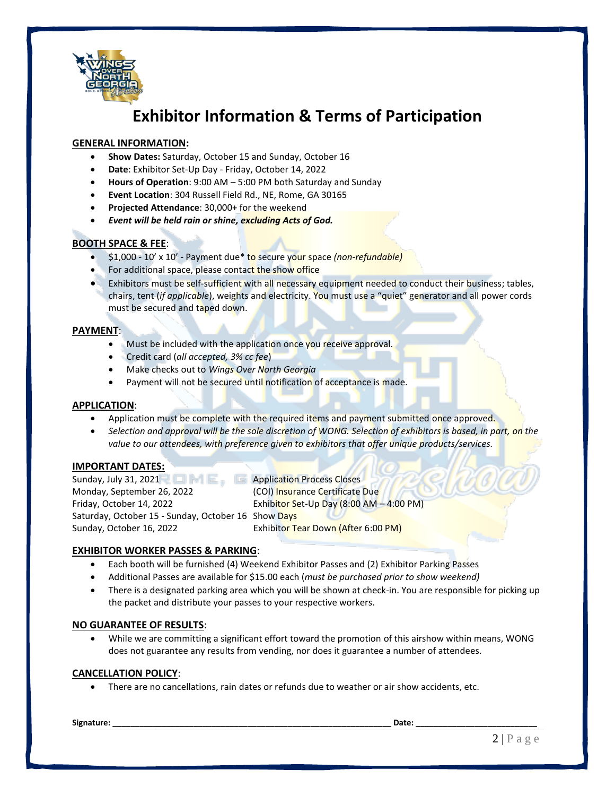

# **Exhibitor Information & Terms of Participation**

### **GENERAL INFORMATION:**

- **Show Dates:** Saturday, October 15 and Sunday, October 16
- **Date**: Exhibitor Set-Up Day Friday, October 14, 2022
- **Hours of Operation**: 9:00 AM 5:00 PM both Saturday and Sunday
- **Event Location**: 304 Russell Field Rd., NE, Rome, GA 30165
- **Projected Attendance**: 30,000+ for the weekend
- *Event will be held rain or shine, excluding Acts of God.*

### **BOOTH SPACE & FEE**:

- \$1,000 10' x 10' Payment due\* to secure your space *(non-refundable)*
- For additional space, please contact the show office
- Exhibitors must be self-sufficient with all necessary equipment needed to conduct their business; tables, chairs, tent (*if applicable*), weights and electricity. You must use a "quiet" generator and all power cords must be secured and taped down.

#### **PAYMENT**:

- Must be included with the application once you receive approval.
- Credit card (*all accepted, 3% cc fee*)
- Make checks out to *Wings Over North Georgia*
- Payment will not be secured until notification of acceptance is made.

#### **APPLICATION**:

- Application must be complete with the required items and payment submitted once approved.
- *Selection and approval will be the sole discretion of WONG. Selection of exhibitors is based, in part, on the value to our attendees, with preference given to exhibitors that offer unique products/services.*

#### **IMPORTANT DATES:**

Sunday, July 31, 2021 **Application Process Closes** Monday, September 26, 2022 (COI) Insurance Certificate Due Friday, October 14, 2022 Exhibitor Set-Up Day (8:00 AM – 4:00 PM) Saturday, October 15 - Sunday, October 16 Show Days Sunday, October 16, 2022 Exhibitor Tear Down (After 6:00 PM)

#### **EXHIBITOR WORKER PASSES & PARKING**:

- Each booth will be furnished (4) Weekend Exhibitor Passes and (2) Exhibitor Parking Passes
- Additional Passes are available for \$15.00 each (*must be purchased prior to show weekend)*
- There is a designated parking area which you will be shown at check-in. You are responsible for picking up the packet and distribute your passes to your respective workers.

#### **NO GUARANTEE OF RESULTS**:

• While we are committing a significant effort toward the promotion of this airshow within means, WONG does not guarantee any results from vending, nor does it guarantee a number of attendees.

#### **CANCELLATION POLICY**:

• There are no cancellations, rain dates or refunds due to weather or air show accidents, etc.

**Signature: \_\_\_\_\_\_\_\_\_\_\_\_\_\_\_\_\_\_\_\_\_\_\_\_\_\_\_\_\_\_\_\_\_\_\_\_\_\_\_\_\_\_\_\_\_\_\_\_\_\_\_\_\_\_\_\_\_\_\_\_\_\_ Date: \_\_\_\_\_\_\_\_\_\_\_\_\_\_\_\_\_\_\_\_\_\_\_\_\_\_\_**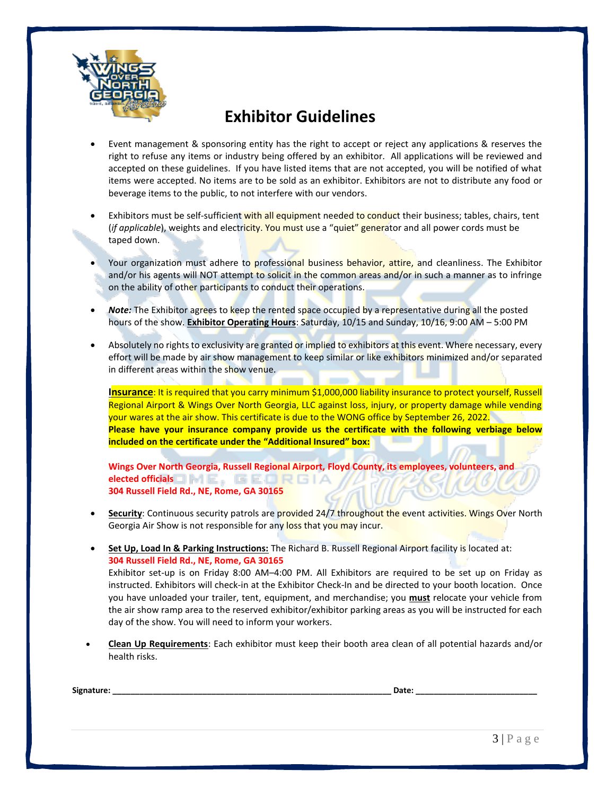

## **Exhibitor Guidelines**

- Event management & sponsoring entity has the right to accept or reject any applications & reserves the right to refuse any items or industry being offered by an exhibitor. All applications will be reviewed and accepted on these guidelines. If you have listed items that are not accepted, you will be notified of what items were accepted. No items are to be sold as an exhibitor. Exhibitors are not to distribute any food or beverage items to the public, to not interfere with our vendors.
- Exhibitors must be self-sufficient with all equipment needed to conduct their business; tables, chairs, tent (*if applicable*), weights and electricity. You must use a "quiet" generator and all power cords must be taped down.
- Your organization must adhere to professional business behavior, attire, and cleanliness. The Exhibitor and/or his agents will NOT attempt to solicit in the common areas and/or in such a manner as to infringe on the ability of other participants to conduct their operations.
- *Note:* The Exhibitor agrees to keep the rented space occupied by a representative during all the posted hours of the show. **Exhibitor Operating Hours**: Saturday, 10/15 and Sunday, 10/16, 9:00 AM – 5:00 PM
- Absolutely no rights to exclusivity are granted or implied to exhibitors at this event. Where necessary, every effort will be made by air show management to keep similar or like exhibitors minimized and/or separated in different areas within the show venue.

**Insurance**: It is required that you carry minimum \$1,000,000 liability insurance to protect yourself, Russell Regional Airport & Wings Over North Georgia, LLC against loss, injury, or property damage while vending your wares at the air show. This certificate is due to the WONG office by September 26, 2022. **Please have your insurance company provide us the certificate with the following verbiage below included on the certificate under the "Additional Insured" box:**

**Wings Over North Georgia, Russell Regional Airport, Floyd County, its employees, volunteers, and elected officials**□ M E, G E □ R G I A **304 Russell Field Rd., NE, Rome, GA 30165**

- **Security:** Continuous security patrols are provided 24/7 throughout the event activities. Wings Over North Georgia Air Show is not responsible for any loss that you may incur.
- **Set Up, Load In & Parking Instructions:** The Richard B. Russell Regional Airport facility is located at: **304 Russell Field Rd., NE, Rome, GA 30165**

Exhibitor set-up is on Friday 8:00 AM–4:00 PM. All Exhibitors are required to be set up on Friday as instructed. Exhibitors will check-in at the Exhibitor Check-In and be directed to your booth location. Once you have unloaded your trailer, tent, equipment, and merchandise; you **must** relocate your vehicle from the air show ramp area to the reserved exhibitor/exhibitor parking areas as you will be instructed for each day of the show. You will need to inform your workers.

• **Clean Up Requirements**: Each exhibitor must keep their booth area clean of all potential hazards and/or health risks.

| Signatur | ---- |  |
|----------|------|--|
|          |      |  |